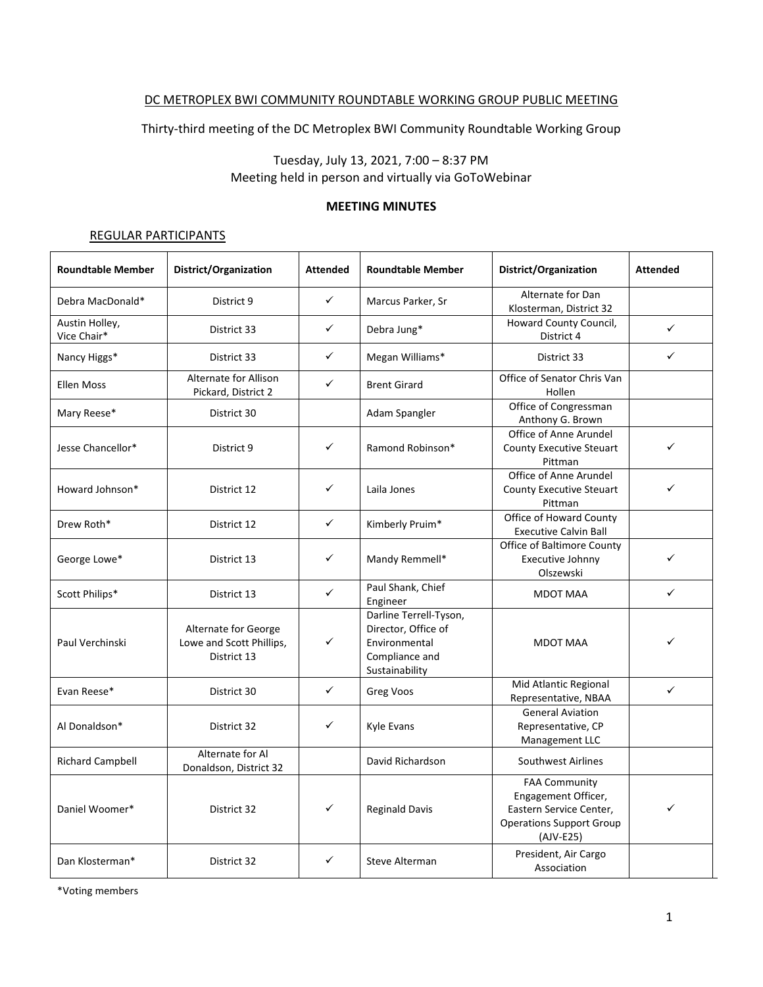#### DC METROPLEX BWI COMMUNITY ROUNDTABLE WORKING GROUP PUBLIC MEETING

Thirty-third meeting of the DC Metroplex BWI Community Roundtable Working Group

## Tuesday, July 13, 2021, 7:00 – 8:37 PM Meeting held in person and virtually via GoToWebinar

## **MEETING MINUTES**

#### REGULAR PARTICIPANTS

| <b>Roundtable Member</b>      | District/Organization                                           | <b>Attended</b> | <b>Roundtable Member</b>                                                                           | District/Organization                                                                                                    | <b>Attended</b> |
|-------------------------------|-----------------------------------------------------------------|-----------------|----------------------------------------------------------------------------------------------------|--------------------------------------------------------------------------------------------------------------------------|-----------------|
| Debra MacDonald*              | District 9                                                      | $\checkmark$    | Marcus Parker, Sr                                                                                  | Alternate for Dan<br>Klosterman, District 32                                                                             |                 |
| Austin Holley,<br>Vice Chair* | District 33                                                     | ✓               | Debra Jung*                                                                                        | Howard County Council,<br>District 4                                                                                     | $\checkmark$    |
| Nancy Higgs*                  | District 33                                                     | $\checkmark$    | Megan Williams*                                                                                    | District 33                                                                                                              | $\checkmark$    |
| <b>Ellen Moss</b>             | <b>Alternate for Allison</b><br>Pickard, District 2             | ✓               | <b>Brent Girard</b>                                                                                | Office of Senator Chris Van<br>Hollen                                                                                    |                 |
| Mary Reese*                   | District 30                                                     |                 | Adam Spangler                                                                                      | Office of Congressman<br>Anthony G. Brown                                                                                |                 |
| Jesse Chancellor*             | District 9                                                      | ✓               | Ramond Robinson*                                                                                   | Office of Anne Arundel<br><b>County Executive Steuart</b><br>Pittman                                                     | ✓               |
| Howard Johnson*               | District 12                                                     | ✓               | Laila Jones                                                                                        | Office of Anne Arundel<br><b>County Executive Steuart</b><br>Pittman                                                     | ✓               |
| Drew Roth*                    | District 12                                                     | $\checkmark$    | Kimberly Pruim*                                                                                    | Office of Howard County<br><b>Executive Calvin Ball</b>                                                                  |                 |
| George Lowe*                  | District 13                                                     | $\checkmark$    | Mandy Remmell*                                                                                     | Office of Baltimore County<br>Executive Johnny<br>Olszewski                                                              | ✓               |
| Scott Philips*                | District 13                                                     | ✓               | Paul Shank, Chief<br>Engineer                                                                      | MDOT MAA                                                                                                                 | $\checkmark$    |
| Paul Verchinski               | Alternate for George<br>Lowe and Scott Phillips,<br>District 13 | ✓               | Darline Terrell-Tyson,<br>Director, Office of<br>Environmental<br>Compliance and<br>Sustainability | <b>MDOT MAA</b>                                                                                                          | ✓               |
| Evan Reese*                   | District 30                                                     | $\checkmark$    | Greg Voos                                                                                          | Mid Atlantic Regional<br>Representative, NBAA                                                                            | $\checkmark$    |
| Al Donaldson*                 | District 32                                                     | ✓               | Kyle Evans                                                                                         | <b>General Aviation</b><br>Representative, CP<br>Management LLC                                                          |                 |
| <b>Richard Campbell</b>       | Alternate for Al<br>Donaldson, District 32                      |                 | David Richardson                                                                                   | <b>Southwest Airlines</b>                                                                                                |                 |
| Daniel Woomer*                | District 32                                                     | ✓               | <b>Reginald Davis</b>                                                                              | <b>FAA Community</b><br>Engagement Officer,<br>Eastern Service Center,<br><b>Operations Support Group</b><br>$(AJV-E25)$ |                 |
| Dan Klosterman*               | District 32                                                     | $\checkmark$    | Steve Alterman                                                                                     | President, Air Cargo<br>Association                                                                                      |                 |

\*Voting members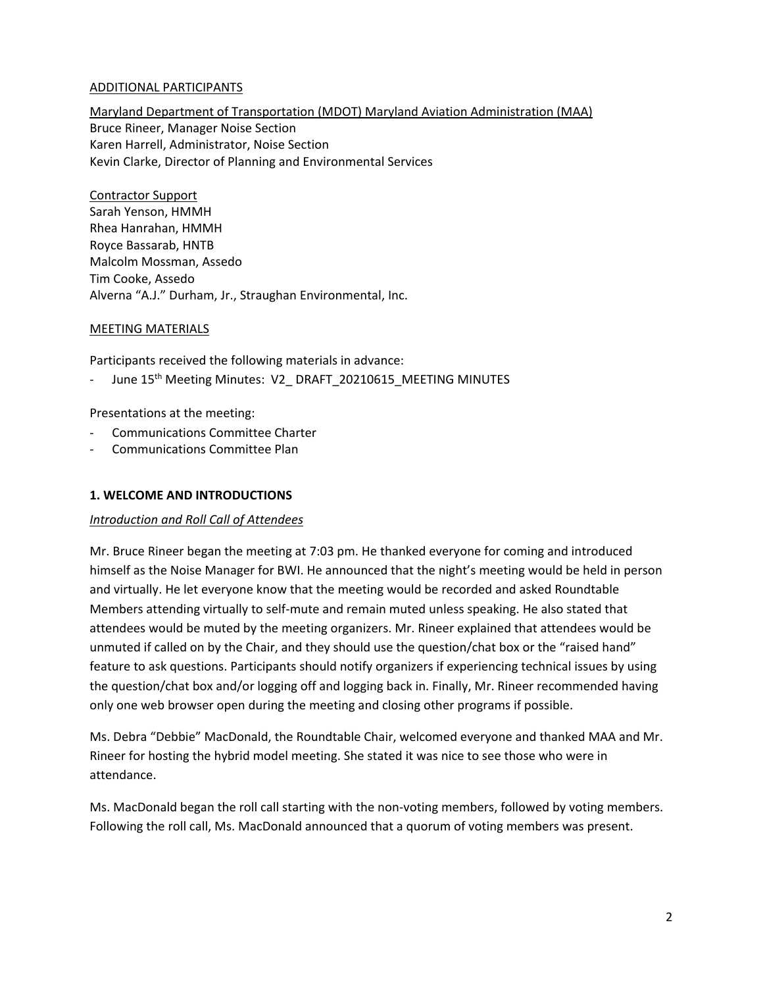#### ADDITIONAL PARTICIPANTS

# Maryland Department of Transportation (MDOT) Maryland Aviation Administration (MAA)

Bruce Rineer, Manager Noise Section Karen Harrell, Administrator, Noise Section Kevin Clarke, Director of Planning and Environmental Services

## Contractor Support

Sarah Yenson, HMMH Rhea Hanrahan, HMMH Royce Bassarab, HNTB Malcolm Mossman, Assedo Tim Cooke, Assedo Alverna "A.J." Durham, Jr., Straughan Environmental, Inc.

## MEETING MATERIALS

Participants received the following materials in advance:

June 15<sup>th</sup> Meeting Minutes: V2\_DRAFT\_20210615\_MEETING MINUTES

## Presentations at the meeting:

- Communications Committee Charter
- Communications Committee Plan

## **1. WELCOME AND INTRODUCTIONS**

## *Introduction and Roll Call of Attendees*

Mr. Bruce Rineer began the meeting at 7:03 pm. He thanked everyone for coming and introduced himself as the Noise Manager for BWI. He announced that the night's meeting would be held in person and virtually. He let everyone know that the meeting would be recorded and asked Roundtable Members attending virtually to self-mute and remain muted unless speaking. He also stated that attendees would be muted by the meeting organizers. Mr. Rineer explained that attendees would be unmuted if called on by the Chair, and they should use the question/chat box or the "raised hand" feature to ask questions. Participants should notify organizers if experiencing technical issues by using the question/chat box and/or logging off and logging back in. Finally, Mr. Rineer recommended having only one web browser open during the meeting and closing other programs if possible.

Ms. Debra "Debbie" MacDonald, the Roundtable Chair, welcomed everyone and thanked MAA and Mr. Rineer for hosting the hybrid model meeting. She stated it was nice to see those who were in attendance.

Ms. MacDonald began the roll call starting with the non-voting members, followed by voting members. Following the roll call, Ms. MacDonald announced that a quorum of voting members was present.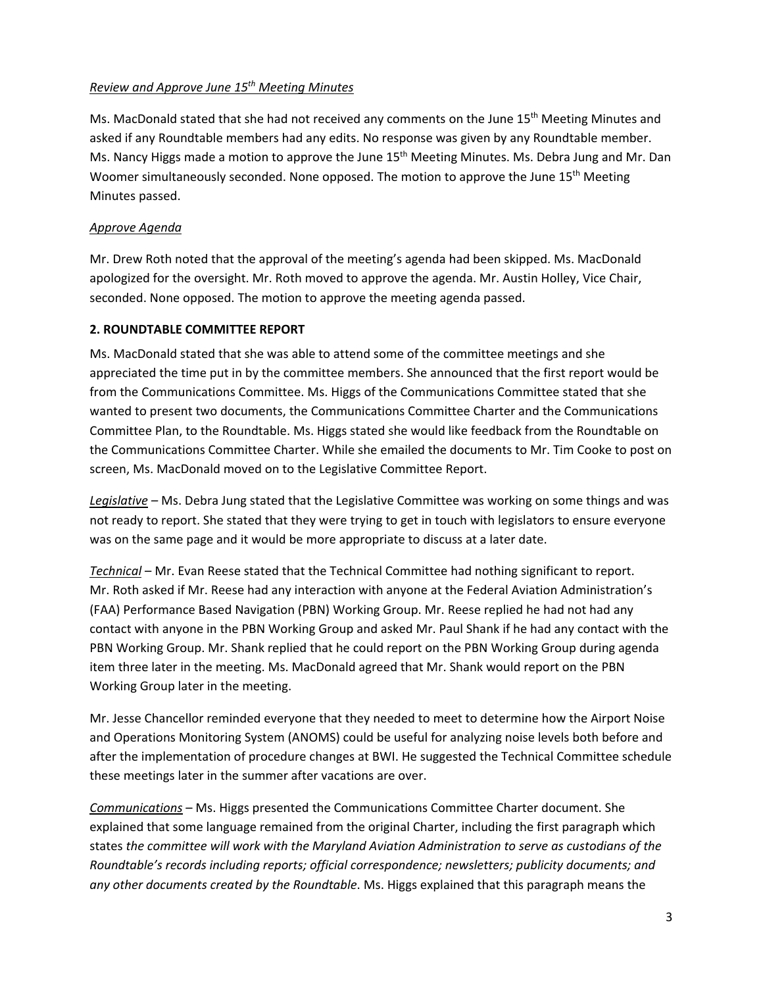#### *Review and Approve June 15th Meeting Minutes*

Ms. MacDonald stated that she had not received any comments on the June  $15<sup>th</sup>$  Meeting Minutes and asked if any Roundtable members had any edits. No response was given by any Roundtable member. Ms. Nancy Higgs made a motion to approve the June 15<sup>th</sup> Meeting Minutes. Ms. Debra Jung and Mr. Dan Woomer simultaneously seconded. None opposed. The motion to approve the June 15<sup>th</sup> Meeting Minutes passed.

## *Approve Agenda*

Mr. Drew Roth noted that the approval of the meeting's agenda had been skipped. Ms. MacDonald apologized for the oversight. Mr. Roth moved to approve the agenda. Mr. Austin Holley, Vice Chair, seconded. None opposed. The motion to approve the meeting agenda passed.

## **2. ROUNDTABLE COMMITTEE REPORT**

Ms. MacDonald stated that she was able to attend some of the committee meetings and she appreciated the time put in by the committee members. She announced that the first report would be from the Communications Committee. Ms. Higgs of the Communications Committee stated that she wanted to present two documents, the Communications Committee Charter and the Communications Committee Plan, to the Roundtable. Ms. Higgs stated she would like feedback from the Roundtable on the Communications Committee Charter. While she emailed the documents to Mr. Tim Cooke to post on screen, Ms. MacDonald moved on to the Legislative Committee Report.

*Legislative –* Ms. Debra Jung stated that the Legislative Committee was working on some things and was not ready to report. She stated that they were trying to get in touch with legislators to ensure everyone was on the same page and it would be more appropriate to discuss at a later date.

*Technical* – Mr. Evan Reese stated that the Technical Committee had nothing significant to report. Mr. Roth asked if Mr. Reese had any interaction with anyone at the Federal Aviation Administration's (FAA) Performance Based Navigation (PBN) Working Group. Mr. Reese replied he had not had any contact with anyone in the PBN Working Group and asked Mr. Paul Shank if he had any contact with the PBN Working Group. Mr. Shank replied that he could report on the PBN Working Group during agenda item three later in the meeting. Ms. MacDonald agreed that Mr. Shank would report on the PBN Working Group later in the meeting.

Mr. Jesse Chancellor reminded everyone that they needed to meet to determine how the Airport Noise and Operations Monitoring System (ANOMS) could be useful for analyzing noise levels both before and after the implementation of procedure changes at BWI. He suggested the Technical Committee schedule these meetings later in the summer after vacations are over.

*Communications* – Ms. Higgs presented the Communications Committee Charter document. She explained that some language remained from the original Charter, including the first paragraph which states *the committee will work with the Maryland Aviation Administration to serve as custodians of the Roundtable's records including reports; official correspondence; newsletters; publicity documents; and any other documents created by the Roundtable*. Ms. Higgs explained that this paragraph means the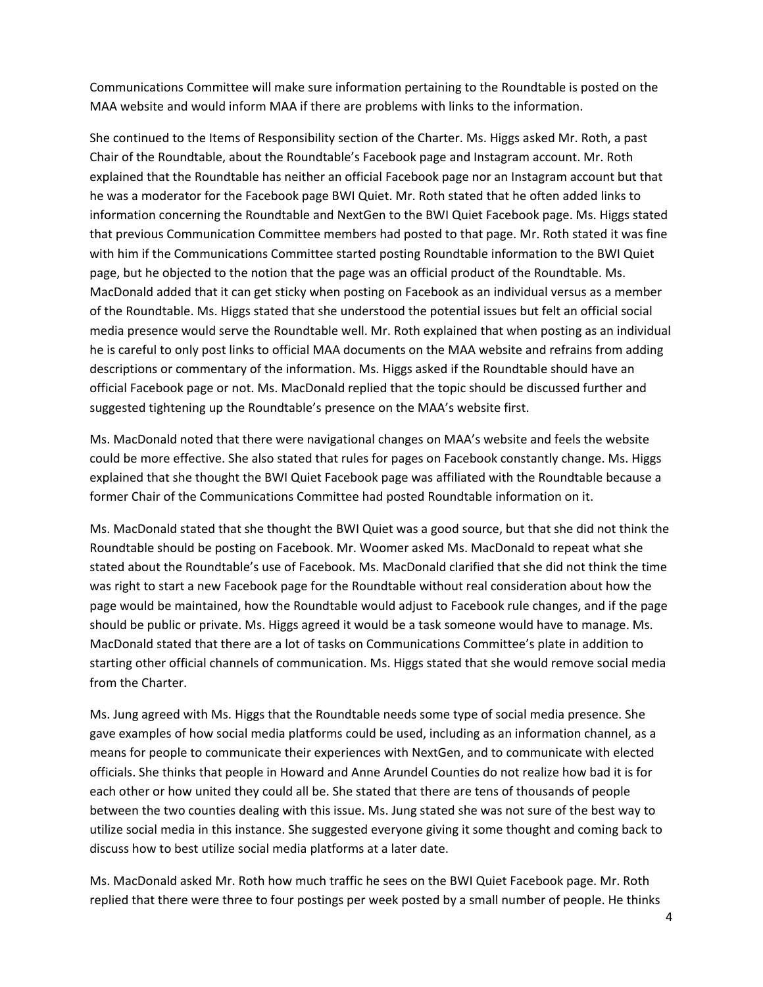Communications Committee will make sure information pertaining to the Roundtable is posted on the MAA website and would inform MAA if there are problems with links to the information.

She continued to the Items of Responsibility section of the Charter. Ms. Higgs asked Mr. Roth, a past Chair of the Roundtable, about the Roundtable's Facebook page and Instagram account. Mr. Roth explained that the Roundtable has neither an official Facebook page nor an Instagram account but that he was a moderator for the Facebook page BWI Quiet. Mr. Roth stated that he often added links to information concerning the Roundtable and NextGen to the BWI Quiet Facebook page. Ms. Higgs stated that previous Communication Committee members had posted to that page. Mr. Roth stated it was fine with him if the Communications Committee started posting Roundtable information to the BWI Quiet page, but he objected to the notion that the page was an official product of the Roundtable. Ms. MacDonald added that it can get sticky when posting on Facebook as an individual versus as a member of the Roundtable. Ms. Higgs stated that she understood the potential issues but felt an official social media presence would serve the Roundtable well. Mr. Roth explained that when posting as an individual he is careful to only post links to official MAA documents on the MAA website and refrains from adding descriptions or commentary of the information. Ms. Higgs asked if the Roundtable should have an official Facebook page or not. Ms. MacDonald replied that the topic should be discussed further and suggested tightening up the Roundtable's presence on the MAA's website first.

Ms. MacDonald noted that there were navigational changes on MAA's website and feels the website could be more effective. She also stated that rules for pages on Facebook constantly change. Ms. Higgs explained that she thought the BWI Quiet Facebook page was affiliated with the Roundtable because a former Chair of the Communications Committee had posted Roundtable information on it.

Ms. MacDonald stated that she thought the BWI Quiet was a good source, but that she did not think the Roundtable should be posting on Facebook. Mr. Woomer asked Ms. MacDonald to repeat what she stated about the Roundtable's use of Facebook. Ms. MacDonald clarified that she did not think the time was right to start a new Facebook page for the Roundtable without real consideration about how the page would be maintained, how the Roundtable would adjust to Facebook rule changes, and if the page should be public or private. Ms. Higgs agreed it would be a task someone would have to manage. Ms. MacDonald stated that there are a lot of tasks on Communications Committee's plate in addition to starting other official channels of communication. Ms. Higgs stated that she would remove social media from the Charter.

Ms. Jung agreed with Ms. Higgs that the Roundtable needs some type of social media presence. She gave examples of how social media platforms could be used, including as an information channel, as a means for people to communicate their experiences with NextGen, and to communicate with elected officials. She thinks that people in Howard and Anne Arundel Counties do not realize how bad it is for each other or how united they could all be. She stated that there are tens of thousands of people between the two counties dealing with this issue. Ms. Jung stated she was not sure of the best way to utilize social media in this instance. She suggested everyone giving it some thought and coming back to discuss how to best utilize social media platforms at a later date.

Ms. MacDonald asked Mr. Roth how much traffic he sees on the BWI Quiet Facebook page. Mr. Roth replied that there were three to four postings per week posted by a small number of people. He thinks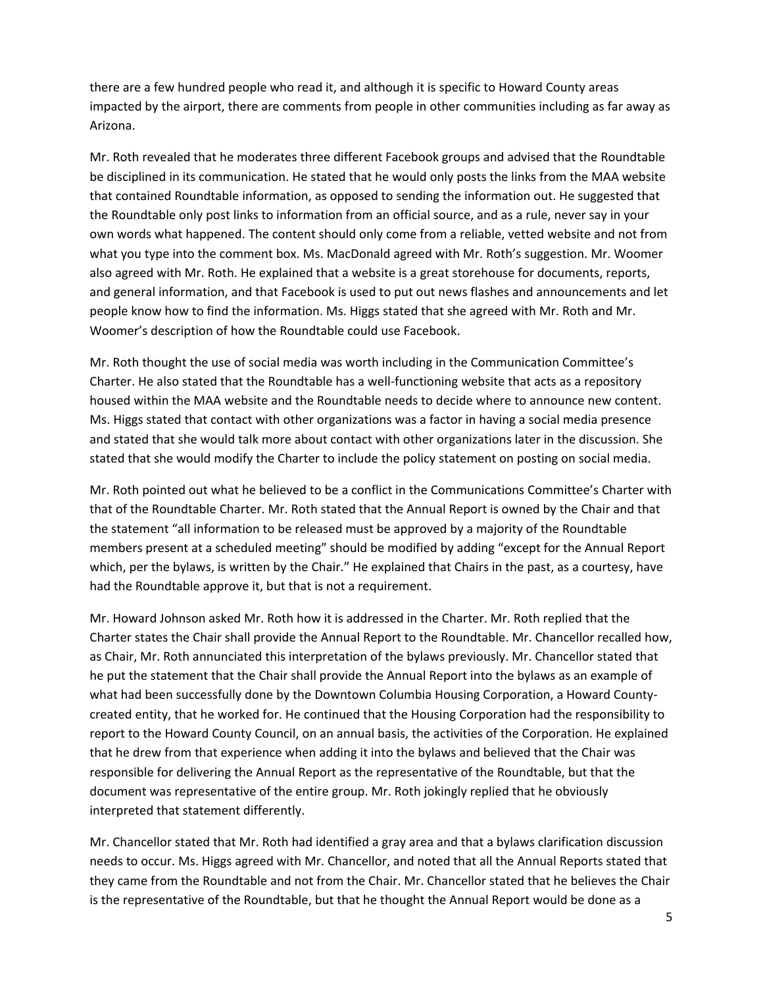there are a few hundred people who read it, and although it is specific to Howard County areas impacted by the airport, there are comments from people in other communities including as far away as Arizona.

Mr. Roth revealed that he moderates three different Facebook groups and advised that the Roundtable be disciplined in its communication. He stated that he would only posts the links from the MAA website that contained Roundtable information, as opposed to sending the information out. He suggested that the Roundtable only post links to information from an official source, and as a rule, never say in your own words what happened. The content should only come from a reliable, vetted website and not from what you type into the comment box. Ms. MacDonald agreed with Mr. Roth's suggestion. Mr. Woomer also agreed with Mr. Roth. He explained that a website is a great storehouse for documents, reports, and general information, and that Facebook is used to put out news flashes and announcements and let people know how to find the information. Ms. Higgs stated that she agreed with Mr. Roth and Mr. Woomer's description of how the Roundtable could use Facebook.

Mr. Roth thought the use of social media was worth including in the Communication Committee's Charter. He also stated that the Roundtable has a well-functioning website that acts as a repository housed within the MAA website and the Roundtable needs to decide where to announce new content. Ms. Higgs stated that contact with other organizations was a factor in having a social media presence and stated that she would talk more about contact with other organizations later in the discussion. She stated that she would modify the Charter to include the policy statement on posting on social media.

Mr. Roth pointed out what he believed to be a conflict in the Communications Committee's Charter with that of the Roundtable Charter. Mr. Roth stated that the Annual Report is owned by the Chair and that the statement "all information to be released must be approved by a majority of the Roundtable members present at a scheduled meeting" should be modified by adding "except for the Annual Report which, per the bylaws, is written by the Chair." He explained that Chairs in the past, as a courtesy, have had the Roundtable approve it, but that is not a requirement.

Mr. Howard Johnson asked Mr. Roth how it is addressed in the Charter. Mr. Roth replied that the Charter states the Chair shall provide the Annual Report to the Roundtable. Mr. Chancellor recalled how, as Chair, Mr. Roth annunciated this interpretation of the bylaws previously. Mr. Chancellor stated that he put the statement that the Chair shall provide the Annual Report into the bylaws as an example of what had been successfully done by the Downtown Columbia Housing Corporation, a Howard Countycreated entity, that he worked for. He continued that the Housing Corporation had the responsibility to report to the Howard County Council, on an annual basis, the activities of the Corporation. He explained that he drew from that experience when adding it into the bylaws and believed that the Chair was responsible for delivering the Annual Report as the representative of the Roundtable, but that the document was representative of the entire group. Mr. Roth jokingly replied that he obviously interpreted that statement differently.

Mr. Chancellor stated that Mr. Roth had identified a gray area and that a bylaws clarification discussion needs to occur. Ms. Higgs agreed with Mr. Chancellor, and noted that all the Annual Reports stated that they came from the Roundtable and not from the Chair. Mr. Chancellor stated that he believes the Chair is the representative of the Roundtable, but that he thought the Annual Report would be done as a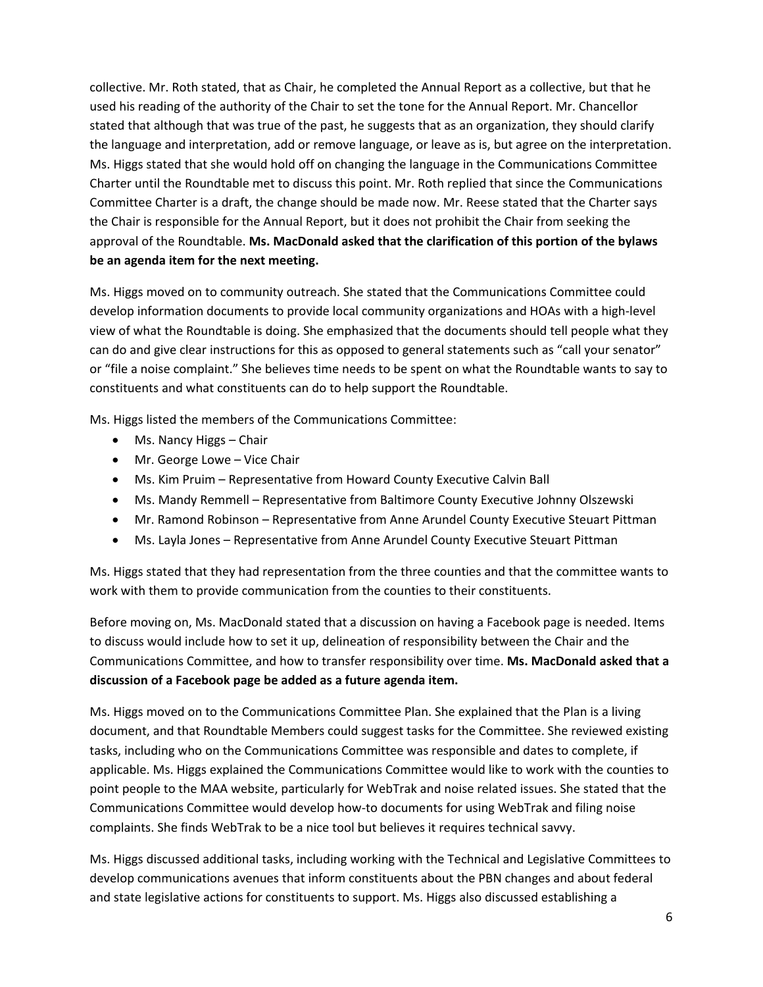collective. Mr. Roth stated, that as Chair, he completed the Annual Report as a collective, but that he used his reading of the authority of the Chair to set the tone for the Annual Report. Mr. Chancellor stated that although that was true of the past, he suggests that as an organization, they should clarify the language and interpretation, add or remove language, or leave as is, but agree on the interpretation. Ms. Higgs stated that she would hold off on changing the language in the Communications Committee Charter until the Roundtable met to discuss this point. Mr. Roth replied that since the Communications Committee Charter is a draft, the change should be made now. Mr. Reese stated that the Charter says the Chair is responsible for the Annual Report, but it does not prohibit the Chair from seeking the approval of the Roundtable. **Ms. MacDonald asked that the clarification of this portion of the bylaws be an agenda item for the next meeting.**

Ms. Higgs moved on to community outreach. She stated that the Communications Committee could develop information documents to provide local community organizations and HOAs with a high-level view of what the Roundtable is doing. She emphasized that the documents should tell people what they can do and give clear instructions for this as opposed to general statements such as "call your senator" or "file a noise complaint." She believes time needs to be spent on what the Roundtable wants to say to constituents and what constituents can do to help support the Roundtable.

Ms. Higgs listed the members of the Communications Committee:

- Ms. Nancy Higgs Chair
- Mr. George Lowe Vice Chair
- Ms. Kim Pruim Representative from Howard County Executive Calvin Ball
- Ms. Mandy Remmell Representative from Baltimore County Executive Johnny Olszewski
- Mr. Ramond Robinson Representative from Anne Arundel County Executive Steuart Pittman
- Ms. Layla Jones Representative from Anne Arundel County Executive Steuart Pittman

Ms. Higgs stated that they had representation from the three counties and that the committee wants to work with them to provide communication from the counties to their constituents.

Before moving on, Ms. MacDonald stated that a discussion on having a Facebook page is needed. Items to discuss would include how to set it up, delineation of responsibility between the Chair and the Communications Committee, and how to transfer responsibility over time. **Ms. MacDonald asked that a discussion of a Facebook page be added as a future agenda item.** 

Ms. Higgs moved on to the Communications Committee Plan. She explained that the Plan is a living document, and that Roundtable Members could suggest tasks for the Committee. She reviewed existing tasks, including who on the Communications Committee was responsible and dates to complete, if applicable. Ms. Higgs explained the Communications Committee would like to work with the counties to point people to the MAA website, particularly for WebTrak and noise related issues. She stated that the Communications Committee would develop how-to documents for using WebTrak and filing noise complaints. She finds WebTrak to be a nice tool but believes it requires technical savvy.

Ms. Higgs discussed additional tasks, including working with the Technical and Legislative Committees to develop communications avenues that inform constituents about the PBN changes and about federal and state legislative actions for constituents to support. Ms. Higgs also discussed establishing a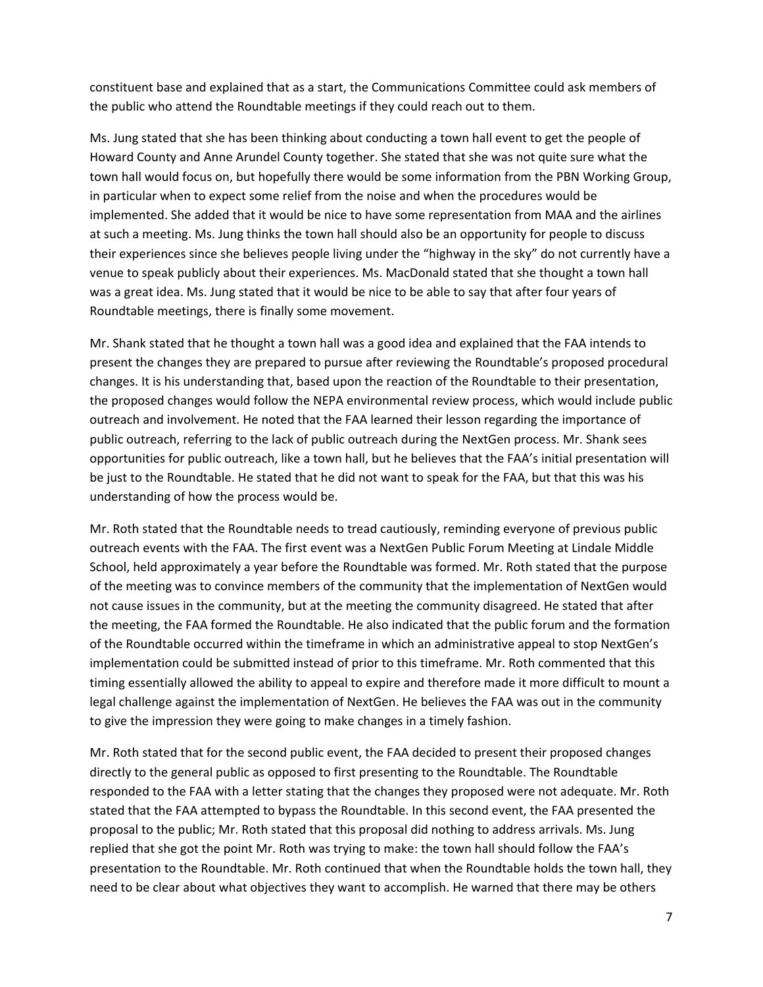constituent base and explained that as a start, the Communications Committee could ask members of the public who attend the Roundtable meetings if they could reach out to them.

Ms. Jung stated that she has been thinking about conducting a town hall event to get the people of Howard County and Anne Arundel County together. She stated that she was not quite sure what the town hall would focus on, but hopefully there would be some information from the PBN Working Group, in particular when to expect some relief from the noise and when the procedures would be implemented. She added that it would be nice to have some representation from MAA and the airlines at such a meeting. Ms. Jung thinks the town hall should also be an opportunity for people to discuss their experiences since she believes people living under the "highway in the sky" do not currently have a venue to speak publicly about their experiences. Ms. MacDonald stated that she thought a town hall was a great idea. Ms. Jung stated that it would be nice to be able to say that after four years of Roundtable meetings, there is finally some movement.

Mr. Shank stated that he thought a town hall was a good idea and explained that the FAA intends to present the changes they are prepared to pursue after reviewing the Roundtable's proposed procedural changes. It is his understanding that, based upon the reaction of the Roundtable to their presentation, the proposed changes would follow the NEPA environmental review process, which would include public outreach and involvement. He noted that the FAA learned their lesson regarding the importance of public outreach, referring to the lack of public outreach during the NextGen process. Mr. Shank sees opportunities for public outreach, like a town hall, but he believes that the FAA's initial presentation will be just to the Roundtable. He stated that he did not want to speak for the FAA, but that this was his understanding of how the process would be.

Mr. Roth stated that the Roundtable needs to tread cautiously, reminding everyone of previous public outreach events with the FAA. The first event was a NextGen Public Forum Meeting at Lindale Middle School, held approximately a year before the Roundtable was formed. Mr. Roth stated that the purpose of the meeting was to convince members of the community that the implementation of NextGen would not cause issues in the community, but at the meeting the community disagreed. He stated that after the meeting, the FAA formed the Roundtable. He also indicated that the public forum and the formation of the Roundtable occurred within the timeframe in which an administrative appeal to stop NextGen's implementation could be submitted instead of prior to this timeframe. Mr. Roth commented that this timing essentially allowed the ability to appeal to expire and therefore made it more difficult to mount a legal challenge against the implementation of NextGen. He believes the FAA was out in the community to give the impression they were going to make changes in a timely fashion.

Mr. Roth stated that for the second public event, the FAA decided to present their proposed changes directly to the general public as opposed to first presenting to the Roundtable. The Roundtable responded to the FAA with a letter stating that the changes they proposed were not adequate. Mr. Roth stated that the FAA attempted to bypass the Roundtable. In this second event, the FAA presented the proposal to the public; Mr. Roth stated that this proposal did nothing to address arrivals. Ms. Jung replied that she got the point Mr. Roth was trying to make: the town hall should follow the FAA's presentation to the Roundtable. Mr. Roth continued that when the Roundtable holds the town hall, they need to be clear about what objectives they want to accomplish. He warned that there may be others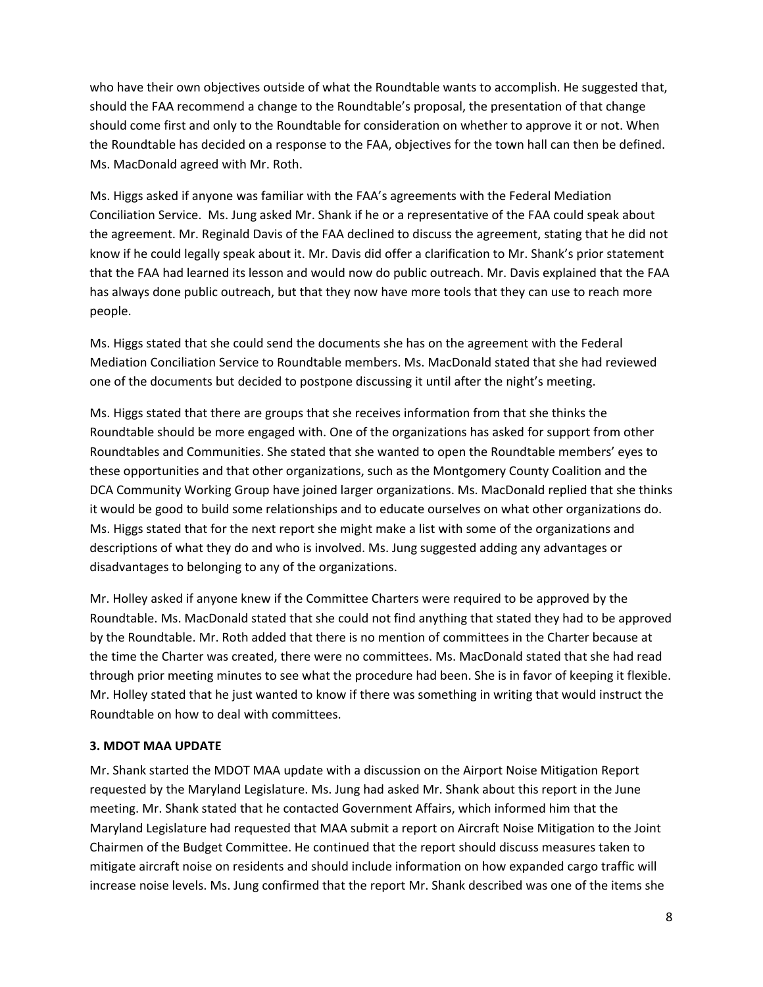who have their own objectives outside of what the Roundtable wants to accomplish. He suggested that, should the FAA recommend a change to the Roundtable's proposal, the presentation of that change should come first and only to the Roundtable for consideration on whether to approve it or not. When the Roundtable has decided on a response to the FAA, objectives for the town hall can then be defined. Ms. MacDonald agreed with Mr. Roth.

Ms. Higgs asked if anyone was familiar with the FAA's agreements with the Federal Mediation Conciliation Service. Ms. Jung asked Mr. Shank if he or a representative of the FAA could speak about the agreement. Mr. Reginald Davis of the FAA declined to discuss the agreement, stating that he did not know if he could legally speak about it. Mr. Davis did offer a clarification to Mr. Shank's prior statement that the FAA had learned its lesson and would now do public outreach. Mr. Davis explained that the FAA has always done public outreach, but that they now have more tools that they can use to reach more people.

Ms. Higgs stated that she could send the documents she has on the agreement with the Federal Mediation Conciliation Service to Roundtable members. Ms. MacDonald stated that she had reviewed one of the documents but decided to postpone discussing it until after the night's meeting.

Ms. Higgs stated that there are groups that she receives information from that she thinks the Roundtable should be more engaged with. One of the organizations has asked for support from other Roundtables and Communities. She stated that she wanted to open the Roundtable members' eyes to these opportunities and that other organizations, such as the Montgomery County Coalition and the DCA Community Working Group have joined larger organizations. Ms. MacDonald replied that she thinks it would be good to build some relationships and to educate ourselves on what other organizations do. Ms. Higgs stated that for the next report she might make a list with some of the organizations and descriptions of what they do and who is involved. Ms. Jung suggested adding any advantages or disadvantages to belonging to any of the organizations.

Mr. Holley asked if anyone knew if the Committee Charters were required to be approved by the Roundtable. Ms. MacDonald stated that she could not find anything that stated they had to be approved by the Roundtable. Mr. Roth added that there is no mention of committees in the Charter because at the time the Charter was created, there were no committees. Ms. MacDonald stated that she had read through prior meeting minutes to see what the procedure had been. She is in favor of keeping it flexible. Mr. Holley stated that he just wanted to know if there was something in writing that would instruct the Roundtable on how to deal with committees.

#### **3. MDOT MAA UPDATE**

Mr. Shank started the MDOT MAA update with a discussion on the Airport Noise Mitigation Report requested by the Maryland Legislature. Ms. Jung had asked Mr. Shank about this report in the June meeting. Mr. Shank stated that he contacted Government Affairs, which informed him that the Maryland Legislature had requested that MAA submit a report on Aircraft Noise Mitigation to the Joint Chairmen of the Budget Committee. He continued that the report should discuss measures taken to mitigate aircraft noise on residents and should include information on how expanded cargo traffic will increase noise levels. Ms. Jung confirmed that the report Mr. Shank described was one of the items she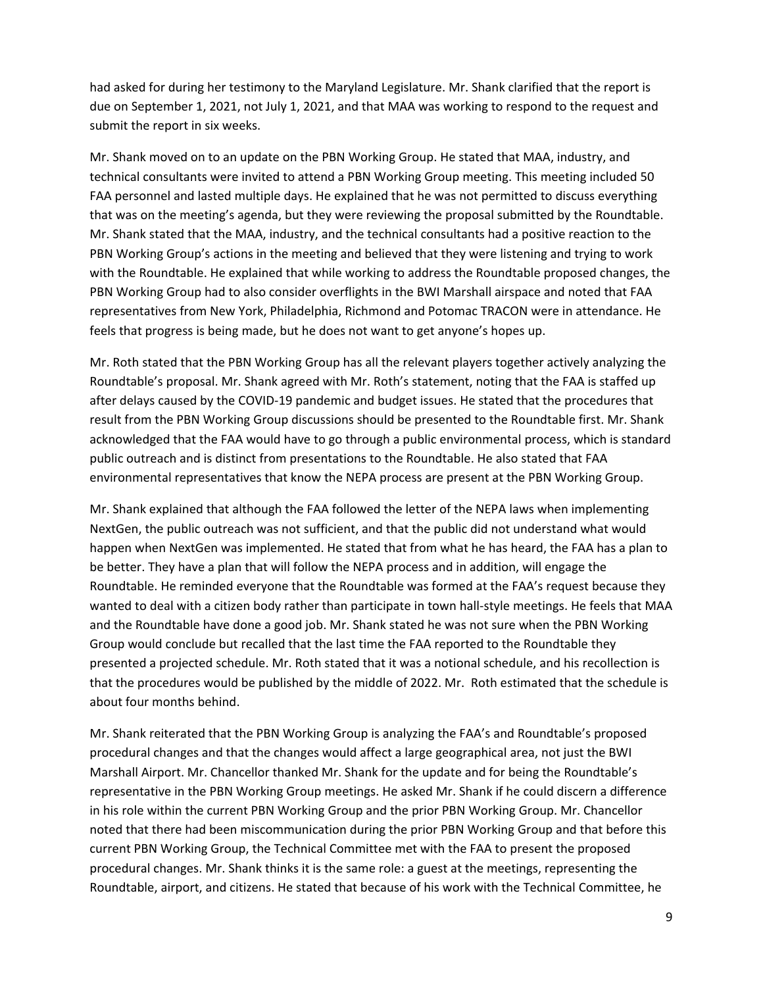had asked for during her testimony to the Maryland Legislature. Mr. Shank clarified that the report is due on September 1, 2021, not July 1, 2021, and that MAA was working to respond to the request and submit the report in six weeks.

Mr. Shank moved on to an update on the PBN Working Group. He stated that MAA, industry, and technical consultants were invited to attend a PBN Working Group meeting. This meeting included 50 FAA personnel and lasted multiple days. He explained that he was not permitted to discuss everything that was on the meeting's agenda, but they were reviewing the proposal submitted by the Roundtable. Mr. Shank stated that the MAA, industry, and the technical consultants had a positive reaction to the PBN Working Group's actions in the meeting and believed that they were listening and trying to work with the Roundtable. He explained that while working to address the Roundtable proposed changes, the PBN Working Group had to also consider overflights in the BWI Marshall airspace and noted that FAA representatives from New York, Philadelphia, Richmond and Potomac TRACON were in attendance. He feels that progress is being made, but he does not want to get anyone's hopes up.

Mr. Roth stated that the PBN Working Group has all the relevant players together actively analyzing the Roundtable's proposal. Mr. Shank agreed with Mr. Roth's statement, noting that the FAA is staffed up after delays caused by the COVID-19 pandemic and budget issues. He stated that the procedures that result from the PBN Working Group discussions should be presented to the Roundtable first. Mr. Shank acknowledged that the FAA would have to go through a public environmental process, which is standard public outreach and is distinct from presentations to the Roundtable. He also stated that FAA environmental representatives that know the NEPA process are present at the PBN Working Group.

Mr. Shank explained that although the FAA followed the letter of the NEPA laws when implementing NextGen, the public outreach was not sufficient, and that the public did not understand what would happen when NextGen was implemented. He stated that from what he has heard, the FAA has a plan to be better. They have a plan that will follow the NEPA process and in addition, will engage the Roundtable. He reminded everyone that the Roundtable was formed at the FAA's request because they wanted to deal with a citizen body rather than participate in town hall-style meetings. He feels that MAA and the Roundtable have done a good job. Mr. Shank stated he was not sure when the PBN Working Group would conclude but recalled that the last time the FAA reported to the Roundtable they presented a projected schedule. Mr. Roth stated that it was a notional schedule, and his recollection is that the procedures would be published by the middle of 2022. Mr. Roth estimated that the schedule is about four months behind.

Mr. Shank reiterated that the PBN Working Group is analyzing the FAA's and Roundtable's proposed procedural changes and that the changes would affect a large geographical area, not just the BWI Marshall Airport. Mr. Chancellor thanked Mr. Shank for the update and for being the Roundtable's representative in the PBN Working Group meetings. He asked Mr. Shank if he could discern a difference in his role within the current PBN Working Group and the prior PBN Working Group. Mr. Chancellor noted that there had been miscommunication during the prior PBN Working Group and that before this current PBN Working Group, the Technical Committee met with the FAA to present the proposed procedural changes. Mr. Shank thinks it is the same role: a guest at the meetings, representing the Roundtable, airport, and citizens. He stated that because of his work with the Technical Committee, he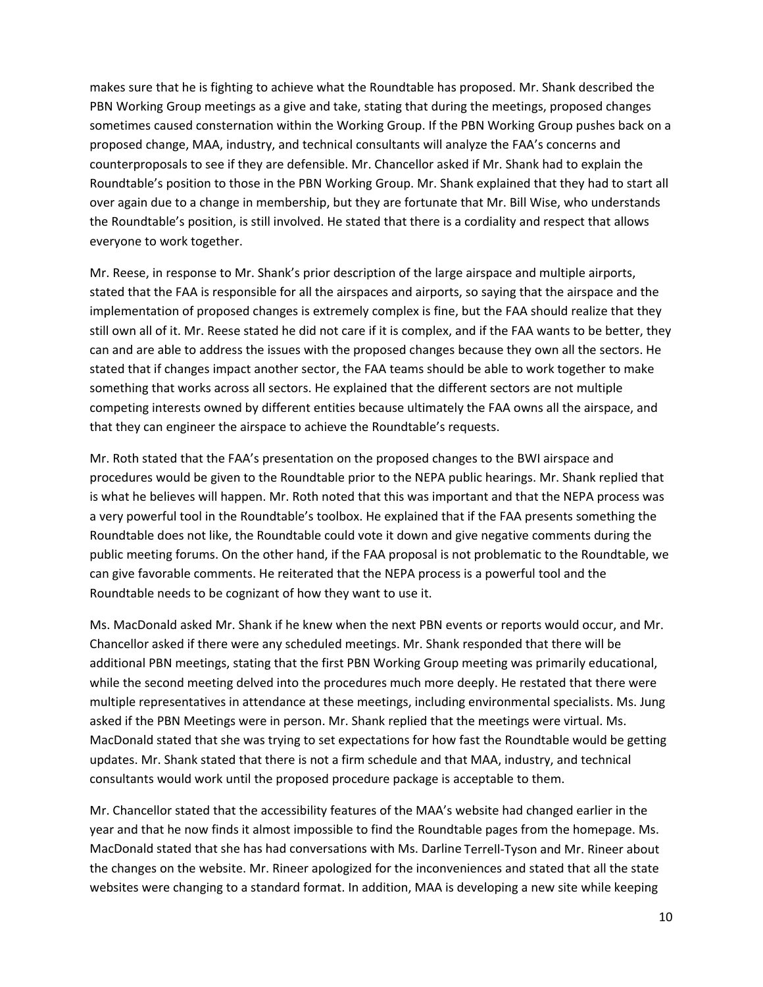makes sure that he is fighting to achieve what the Roundtable has proposed. Mr. Shank described the PBN Working Group meetings as a give and take, stating that during the meetings, proposed changes sometimes caused consternation within the Working Group. If the PBN Working Group pushes back on a proposed change, MAA, industry, and technical consultants will analyze the FAA's concerns and counterproposals to see if they are defensible. Mr. Chancellor asked if Mr. Shank had to explain the Roundtable's position to those in the PBN Working Group. Mr. Shank explained that they had to start all over again due to a change in membership, but they are fortunate that Mr. Bill Wise, who understands the Roundtable's position, is still involved. He stated that there is a cordiality and respect that allows everyone to work together.

Mr. Reese, in response to Mr. Shank's prior description of the large airspace and multiple airports, stated that the FAA is responsible for all the airspaces and airports, so saying that the airspace and the implementation of proposed changes is extremely complex is fine, but the FAA should realize that they still own all of it. Mr. Reese stated he did not care if it is complex, and if the FAA wants to be better, they can and are able to address the issues with the proposed changes because they own all the sectors. He stated that if changes impact another sector, the FAA teams should be able to work together to make something that works across all sectors. He explained that the different sectors are not multiple competing interests owned by different entities because ultimately the FAA owns all the airspace, and that they can engineer the airspace to achieve the Roundtable's requests.

Mr. Roth stated that the FAA's presentation on the proposed changes to the BWI airspace and procedures would be given to the Roundtable prior to the NEPA public hearings. Mr. Shank replied that is what he believes will happen. Mr. Roth noted that this was important and that the NEPA process was a very powerful tool in the Roundtable's toolbox. He explained that if the FAA presents something the Roundtable does not like, the Roundtable could vote it down and give negative comments during the public meeting forums. On the other hand, if the FAA proposal is not problematic to the Roundtable, we can give favorable comments. He reiterated that the NEPA process is a powerful tool and the Roundtable needs to be cognizant of how they want to use it.

Ms. MacDonald asked Mr. Shank if he knew when the next PBN events or reports would occur, and Mr. Chancellor asked if there were any scheduled meetings. Mr. Shank responded that there will be additional PBN meetings, stating that the first PBN Working Group meeting was primarily educational, while the second meeting delved into the procedures much more deeply. He restated that there were multiple representatives in attendance at these meetings, including environmental specialists. Ms. Jung asked if the PBN Meetings were in person. Mr. Shank replied that the meetings were virtual. Ms. MacDonald stated that she was trying to set expectations for how fast the Roundtable would be getting updates. Mr. Shank stated that there is not a firm schedule and that MAA, industry, and technical consultants would work until the proposed procedure package is acceptable to them.

Mr. Chancellor stated that the accessibility features of the MAA's website had changed earlier in the year and that he now finds it almost impossible to find the Roundtable pages from the homepage. Ms. MacDonald stated that she has had conversations with Ms. Darline Terrell-Tyson and Mr. Rineer about the changes on the website. Mr. Rineer apologized for the inconveniences and stated that all the state websites were changing to a standard format. In addition, MAA is developing a new site while keeping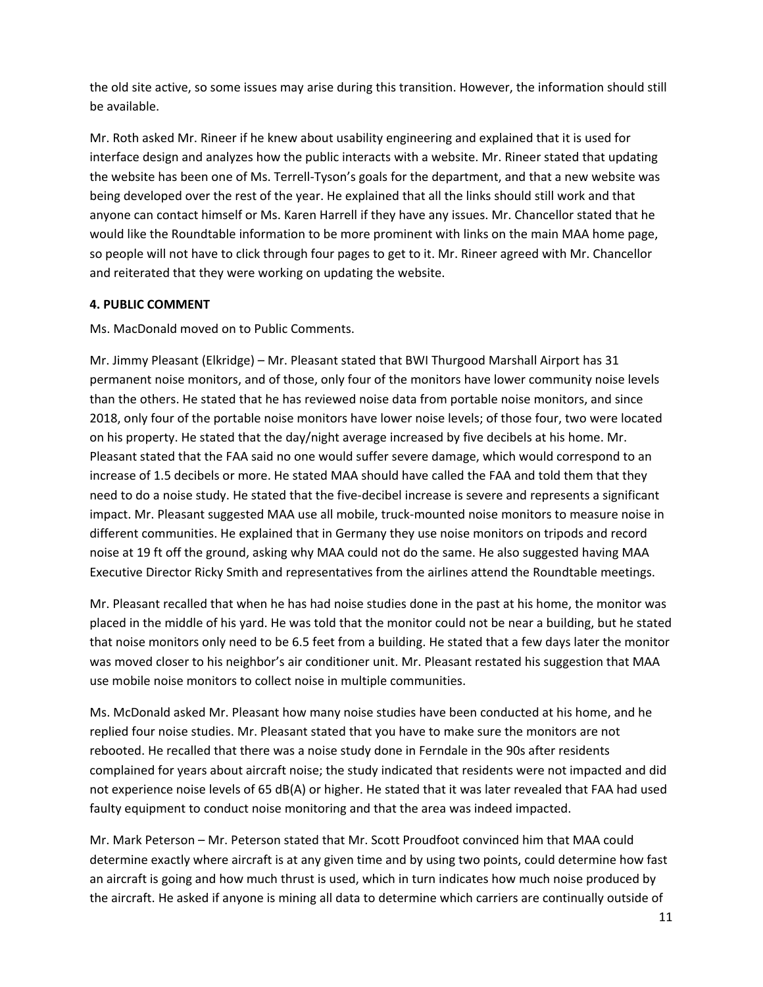the old site active, so some issues may arise during this transition. However, the information should still be available.

Mr. Roth asked Mr. Rineer if he knew about usability engineering and explained that it is used for interface design and analyzes how the public interacts with a website. Mr. Rineer stated that updating the website has been one of Ms. Terrell-Tyson's goals for the department, and that a new website was being developed over the rest of the year. He explained that all the links should still work and that anyone can contact himself or Ms. Karen Harrell if they have any issues. Mr. Chancellor stated that he would like the Roundtable information to be more prominent with links on the main MAA home page, so people will not have to click through four pages to get to it. Mr. Rineer agreed with Mr. Chancellor and reiterated that they were working on updating the website.

## **4. PUBLIC COMMENT**

Ms. MacDonald moved on to Public Comments.

Mr. Jimmy Pleasant (Elkridge) – Mr. Pleasant stated that BWI Thurgood Marshall Airport has 31 permanent noise monitors, and of those, only four of the monitors have lower community noise levels than the others. He stated that he has reviewed noise data from portable noise monitors, and since 2018, only four of the portable noise monitors have lower noise levels; of those four, two were located on his property. He stated that the day/night average increased by five decibels at his home. Mr. Pleasant stated that the FAA said no one would suffer severe damage, which would correspond to an increase of 1.5 decibels or more. He stated MAA should have called the FAA and told them that they need to do a noise study. He stated that the five-decibel increase is severe and represents a significant impact. Mr. Pleasant suggested MAA use all mobile, truck-mounted noise monitors to measure noise in different communities. He explained that in Germany they use noise monitors on tripods and record noise at 19 ft off the ground, asking why MAA could not do the same. He also suggested having MAA Executive Director Ricky Smith and representatives from the airlines attend the Roundtable meetings.

Mr. Pleasant recalled that when he has had noise studies done in the past at his home, the monitor was placed in the middle of his yard. He was told that the monitor could not be near a building, but he stated that noise monitors only need to be 6.5 feet from a building. He stated that a few days later the monitor was moved closer to his neighbor's air conditioner unit. Mr. Pleasant restated his suggestion that MAA use mobile noise monitors to collect noise in multiple communities.

Ms. McDonald asked Mr. Pleasant how many noise studies have been conducted at his home, and he replied four noise studies. Mr. Pleasant stated that you have to make sure the monitors are not rebooted. He recalled that there was a noise study done in Ferndale in the 90s after residents complained for years about aircraft noise; the study indicated that residents were not impacted and did not experience noise levels of 65 dB(A) or higher. He stated that it was later revealed that FAA had used faulty equipment to conduct noise monitoring and that the area was indeed impacted.

Mr. Mark Peterson – Mr. Peterson stated that Mr. Scott Proudfoot convinced him that MAA could determine exactly where aircraft is at any given time and by using two points, could determine how fast an aircraft is going and how much thrust is used, which in turn indicates how much noise produced by the aircraft. He asked if anyone is mining all data to determine which carriers are continually outside of